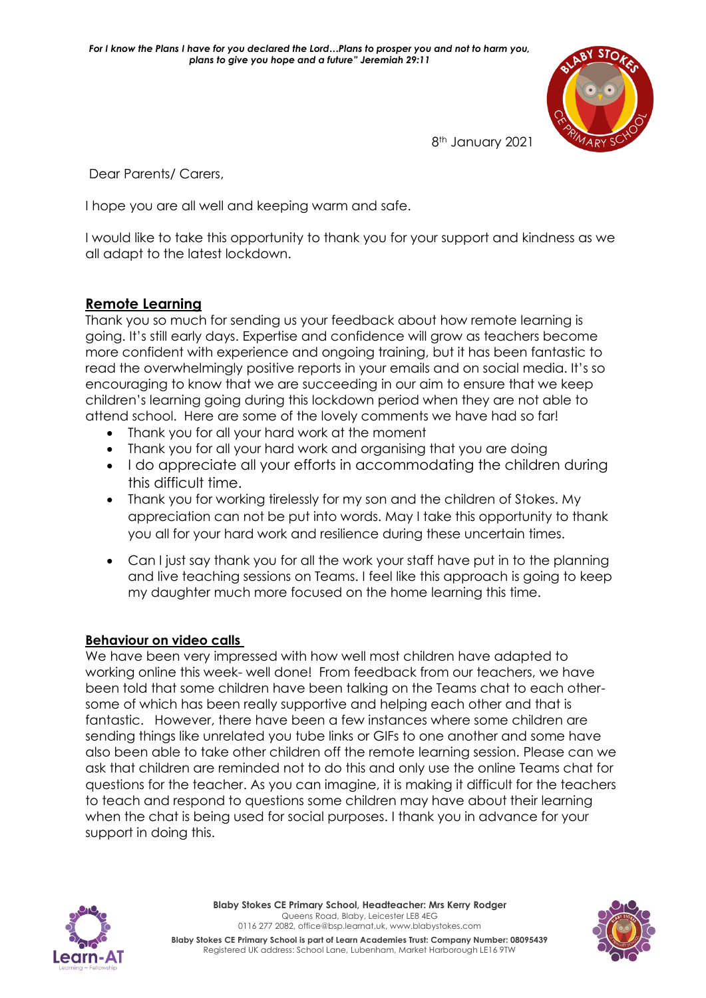

8<sup>th</sup> January 2021

Dear Parents/ Carers,

I hope you are all well and keeping warm and safe.

I would like to take this opportunity to thank you for your support and kindness as we all adapt to the latest lockdown.

# **Remote Learning**

Thank you so much for sending us your feedback about how remote learning is going. It's still early days. Expertise and confidence will grow as teachers become more confident with experience and ongoing training, but it has been fantastic to read the overwhelmingly positive reports in your emails and on social media. It's so encouraging to know that we are succeeding in our aim to ensure that we keep children's learning going during this lockdown period when they are not able to attend school. Here are some of the lovely comments we have had so far!

- Thank you for all your hard work at the moment
- Thank you for all your hard work and organising that you are doing
- I do appreciate all your efforts in accommodating the children during this difficult time.
- Thank you for working tirelessly for my son and the children of Stokes. My appreciation can not be put into words. May I take this opportunity to thank you all for your hard work and resilience during these uncertain times.
- Can I just say thank you for all the work your staff have put in to the planning and live teaching sessions on Teams. I feel like this approach is going to keep my daughter much more focused on the home learning this time.

### **Behaviour on video calls**

We have been very impressed with how well most children have adapted to working online this week- well done! From feedback from our teachers, we have been told that some children have been talking on the Teams chat to each othersome of which has been really supportive and helping each other and that is fantastic. However, there have been a few instances where some children are sending things like unrelated you tube links or GIFs to one another and some have also been able to take other children off the remote learning session. Please can we ask that children are reminded not to do this and only use the online Teams chat for questions for the teacher. As you can imagine, it is making it difficult for the teachers to teach and respond to questions some children may have about their learning when the chat is being used for social purposes. I thank you in advance for your support in doing this.



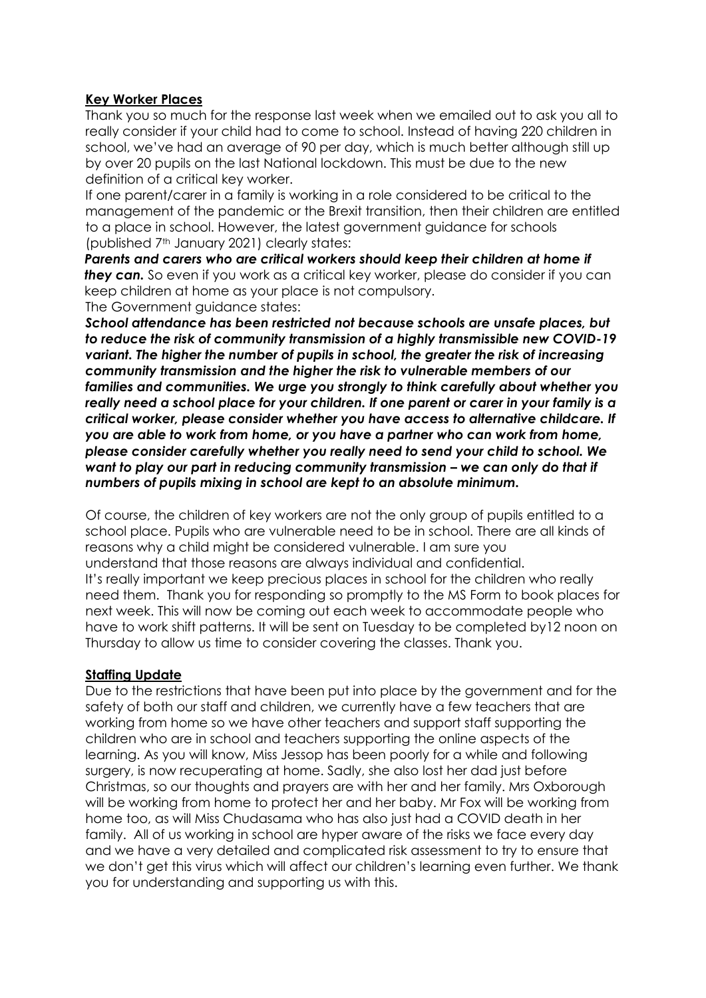### **Key Worker Places**

Thank you so much for the response last week when we emailed out to ask you all to really consider if your child had to come to school. Instead of having 220 children in school, we've had an average of 90 per day, which is much better although still up by over 20 pupils on the last National lockdown. This must be due to the new definition of a critical key worker.

If one parent/carer in a family is working in a role considered to be critical to the management of the pandemic or the Brexit transition, then their children are entitled to a place in school. However, the latest government guidance for schools (published 7th January 2021) clearly states:

Parents and carers who are critical workers should keep their children at home if *they can.* So even if you work as a critical key worker, please do consider if you can keep children at home as your place is not compulsory. The Government guidance states:

*School attendance has been restricted not because schools are unsafe places, but to reduce the risk of community transmission of a highly transmissible new COVID-19 variant. The higher the number of pupils in school, the greater the risk of increasing community transmission and the higher the risk to vulnerable members of our families and communities. We urge you strongly to think carefully about whether you really need a school place for your children. If one parent or carer in your family is a critical worker, please consider whether you have access to alternative childcare. If you are able to work from home, or you have a partner who can work from home, please consider carefully whether you really need to send your child to school. We want to play our part in reducing community transmission – we can only do that if numbers of pupils mixing in school are kept to an absolute minimum.*

Of course, the children of key workers are not the only group of pupils entitled to a school place. Pupils who are vulnerable need to be in school. There are all kinds of reasons why a child might be considered vulnerable. I am sure you understand that those reasons are always individual and confidential. It's really important we keep precious places in school for the children who really need them. Thank you for responding so promptly to the MS Form to book places for next week. This will now be coming out each week to accommodate people who have to work shift patterns. It will be sent on Tuesday to be completed by12 noon on Thursday to allow us time to consider covering the classes. Thank you.

#### **Staffing Update**

Due to the restrictions that have been put into place by the government and for the safety of both our staff and children, we currently have a few teachers that are working from home so we have other teachers and support staff supporting the children who are in school and teachers supporting the online aspects of the learning. As you will know, Miss Jessop has been poorly for a while and following surgery, is now recuperating at home. Sadly, she also lost her dad just before Christmas, so our thoughts and prayers are with her and her family. Mrs Oxborough will be working from home to protect her and her baby. Mr Fox will be working from home too, as will Miss Chudasama who has also just had a COVID death in her family. All of us working in school are hyper aware of the risks we face every day and we have a very detailed and complicated risk assessment to try to ensure that we don't get this virus which will affect our children's learning even further. We thank you for understanding and supporting us with this.